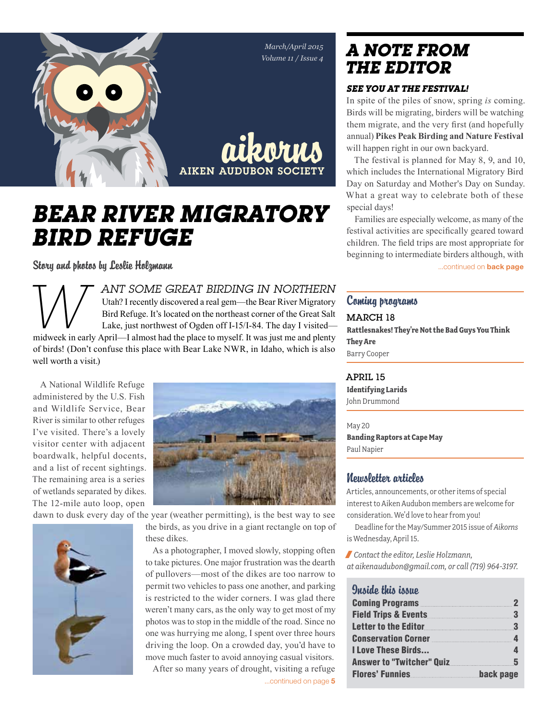

# *Bear River Migratory Bird Refuge*

Story and photos by Leslie Holzmann **Exercise 2018** and the story of the state of the second of the second on back page

*ANT SOME GREAT BIRDING IN NORTHERN*<br>Utah? I recently discovered a real gem—the Bear River Migratory<br>Bird Refuge. It's located on the northeast corner of the Great Salt<br>Lake, just northwest of Ogden off I-15/I-84. The day Utah? I recently discovered a real gem—the Bear River Migratory Bird Refuge. It's located on the northeast corner of the Great Salt Lake, just northwest of Ogden off I-15/I-84. The day I visited of birds! (Don't confuse this place with Bear Lake NWR, in Idaho, which is also well worth a visit.)

A National Wildlife Refuge administered by the U.S. Fish and Wildlife Service, Bear River is similar to other refuges I've visited. There's a lovely visitor center with adjacent boardwalk, helpful docents, and a list of recent sightings. The remaining area is a series of wetlands separated by dikes. The 12-mile auto loop, open



dawn to dusk every day of the year (weather permitting), is the best way to see



the birds, as you drive in a giant rectangle on top of these dikes.

As a photographer, I moved slowly, stopping often to take pictures. One major frustration was the dearth of pullovers—most of the dikes are too narrow to permit two vehicles to pass one another, and parking is restricted to the wider corners. I was glad there weren't many cars, as the only way to get most of my photos was to stop in the middle of the road. Since no one was hurrying me along, I spent over three hours driving the loop. On a crowded day, you'd have to move much faster to avoid annoying casual visitors. After so many years of drought, visiting a refuge

# *A Note from the EDITOR*

## *See you at the festival!*

In spite of the piles of snow, spring *is* coming. Birds will be migrating, birders will be watching them migrate, and the very first (and hopefully annual) **Pikes Peak Birding and Nature Festival** will happen right in our own backyard.

The festival is planned for May 8, 9, and 10, which includes the International Migratory Bird Day on Saturday and Mother's Day on Sunday. What a great way to celebrate both of these special days!

Families are especially welcome, as many of the festival activities are specifically geared toward children. The field trips are most appropriate for beginning to intermediate birders although, with

### Coming programs

#### MARCH 18

**Rattlesnakes! They're Not the Bad Guys You Think They Are** Barry Cooper

### April 15

**Identifying Larids** John Drummond

# May 20 **Banding Raptors at Cape May**

Paul Napier

## Newsletter articles

Articles, announcements, or other items of special interest to Aiken Audubon members are welcome for consideration. We'd love to hear from you!

Deadline for the May/Summer 2015 issue of *Aikorns* is Wednesday, April 15.

/ *Contact the editor, Leslie Holzmann, at aikenaudubon@gmail.com, or call (719) 964-3197.*

## Inside this issue Coming Programs 2 Field Trips & Events 3 Letter to the Editor 3 **Conservation Corner 4 and 2001 I Love These Birds...** 4 Answer to "Twitcher" Quiz **5** Flores' Funnies **back** page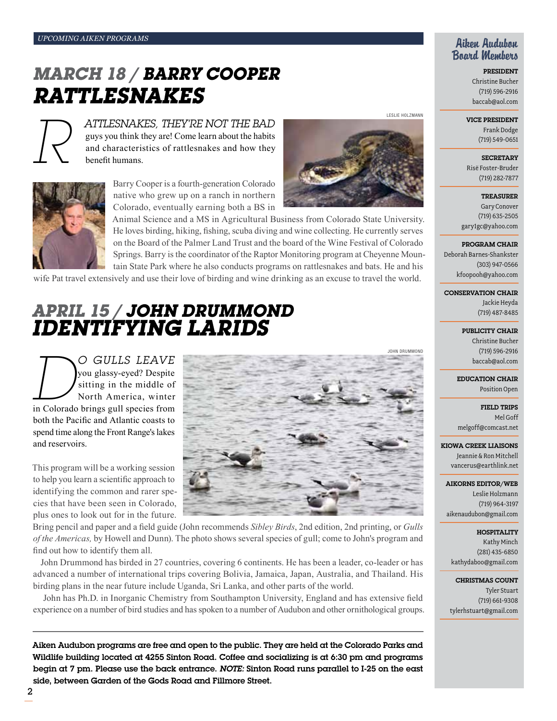# *mARCH 18 / bARRY cOOPER rATTLESNAKES*



*R attlesnakes, They're Not the Bad*  guys you think they are! Come learn about the habits and characteristics of rattlesnakes and how they benefit humans.



Barry Cooper is a fourth-generation Colorado native who grew up on a ranch in northern Colorado, eventually earning both a BS in



Leslie Holzmann

Animal Science and a MS in Agricultural Business from Colorado State University. He loves birding, hiking, fishing, scuba diving and wine collecting. He currently serves on the Board of the Palmer Land Trust and the board of the Wine Festival of Colorado Springs. Barry is the coordinator of the Raptor Monitoring program at Cheyenne Mountain State Park where he also conducts programs on rattlesnakes and bats. He and his

wife Pat travel extensively and use their love of birding and wine drinking as an excuse to travel the world.

# *aPRIL 15 / jOHN dRUMMOND iDENTIFYING LARIDS*

*Do gulls leave*  in Colorado brings gull species from you glassy-eyed? Despite sitting in the middle of North America, winter both the Pacific and Atlantic coasts to spend time along the Front Range's lakes and reservoirs.

This program will be a working session to help you learn a scientific approach to identifying the common and rarer species that have been seen in Colorado, plus ones to look out for in the future.



Bring pencil and paper and a field guide (John recommends *Sibley Birds*, 2nd edition, 2nd printing, or *Gulls of the Americas,* by Howell and Dunn). The photo shows several species of gull; come to John's program and find out how to identify them all.

John Drummond has birded in 27 countries, covering 6 continents. He has been a leader, co-leader or has advanced a number of international trips covering Bolivia, Jamaica, Japan, Australia, and Thailand. His birding plans in the near future include Uganda, Sri Lanka, and other parts of the world.

 John has Ph.D. in Inorganic Chemistry from Southampton University, England and has extensive field experience on a number of bird studies and has spoken to a number of Audubon and other ornithological groups.

Aiken Audubon programs are free and open to the public. They are held at the Colorado Parks and Wildlife building located at 4255 Sinton Road. Coffee and socializing is at 6:30 pm and programs begin at 7 pm. Please use the back entrance. *Note:* Sinton Road runs parallel to I-25 on the east side, between Garden of the Gods Road and Fillmore Street.

### Aiken Audubon Board Members

President Christine Bucher (719) 596-2916 baccab@aol.com

#### Vice President

Frank Dodge (719) 549-0651

**SECRETARY** Risë Foster-Bruder (719) 282-7877

**TREASURER** Gary Conover (719) 635-2505 gary1gc@yahoo.com

#### Program Chair

Deborah Barnes-Shankster (303) 947-0566 kfoopooh@yahoo.com

Conservation Chair

Jackie Heyda (719) 487-8485

PUBLICITY CHAIR Christine Bucher (719) 596-2916

baccab@aol.com Education Chair

Position Open

Field Trips Mel Goff melgoff@comcast.net

Kiowa Creek Liaisons Jeannie & Ron Mitchell vancerus@earthlink.net

Aikorns Editor/Web Leslie Holzmann (719) 964-3197 aikenaudubon@gmail.com

**HOSPITALITY** Kathy Minch (281) 435-6850 kathydaboo@gmail.com

Christmas Count Tyler Stuart (719) 661-9308 tylerhstuart@gmail.com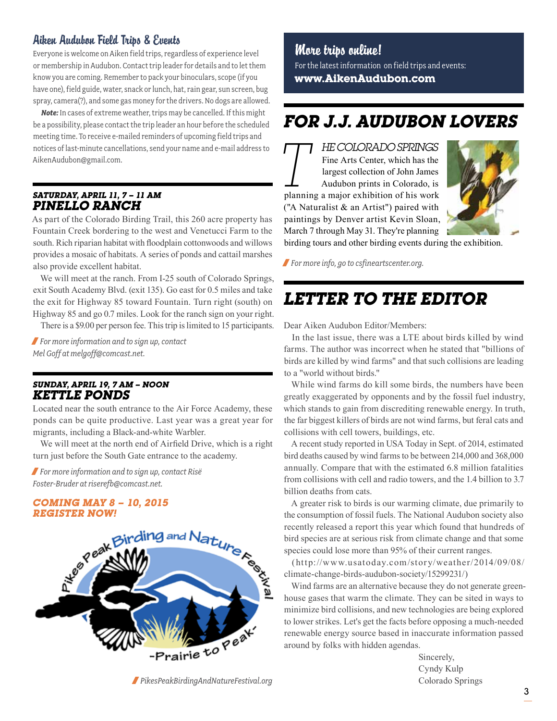## Aiken Audubon Field Trips & Events

Everyone is welcome on Aiken field trips, regardless of experience level or membership in Audubon. Contact trip leader for details and to let them know you are coming. Remember to pack your binoculars, scope (if you have one), field guide, water, snack or lunch, hat, rain gear, sun screen, bug spray, camera(?), and some gas money for the drivers. No dogs are allowed.

*Note:* In cases of extreme weather, trips may be cancelled. If this might be a possibility, please contact the trip leader an hour before the scheduled meeting time. To receive e-mailed reminders of upcoming field trips and notices of last-minute cancellations, send your name and e-mail address to AikenAudubon@gmail.com.

#### *Saturday, April 11, 7 – 11 am Pinello Ranch*

As part of the Colorado Birding Trail, this 260 acre property has Fountain Creek bordering to the west and Venetucci Farm to the south. Rich riparian habitat with floodplain cottonwoods and willows provides a mosaic of habitats. A series of ponds and cattail marshes also provide excellent habitat.

We will meet at the ranch. From I-25 south of Colorado Springs, exit South Academy Blvd. (exit 135). Go east for 0.5 miles and take the exit for Highway 85 toward Fountain. Turn right (south) on Highway 85 and go 0.7 miles. Look for the ranch sign on your right.

There is a \$9.00 per person fee. This trip is limited to 15 participants.

/ *For more information and to sign up, contact Mel Goff at melgoff@comcast.net.* 

#### *Sunday, April 19, 7 am – noon Kettle Ponds*

Located near the south entrance to the Air Force Academy, these ponds can be quite productive. Last year was a great year for migrants, including a Black-and-white Warbler.

We will meet at the north end of Airfield Drive, which is a right turn just before the South Gate entrance to the academy.

/ *For more information and to sign up, contact Ris Foster-Bruder at riserefb@comcast.net.* 

#### *Coming May 8 – 10, 2015 REGISTER NOW!*



/ *PikesPeakBirdingAndNatureFestival.org*

# More trips online!

For the latest information on field trips and events: **www.AikenAudubon.com**

# *For j.j. Audubon Lovers*

**TT** *HE COLORADO SPRINGS*<br>
Fine Arts Center, which has the<br>
largest collection of John James<br>
Audubon prints in Colorado, is<br>
planning a major exhibition of his work Fine Arts Center, which has the largest collection of John James Audubon prints in Colorado, is ("A Naturalist & an Artist") paired with paintings by Denver artist Kevin Sloan, March 7 through May 31. They're planning



birding tours and other birding events during the exhibition.

/ *For more info, go to csfineartscenter.org.*

# *Letter to the editor*

Dear Aiken Audubon Editor/Members:

In the last issue, there was a LTE about birds killed by wind farms. The author was incorrect when he stated that "billions of birds are killed by wind farms" and that such collisions are leading to a "world without birds."

While wind farms do kill some birds, the numbers have been greatly exaggerated by opponents and by the fossil fuel industry, which stands to gain from discrediting renewable energy. In truth, the far biggest killers of birds are not wind farms, but feral cats and collisions with cell towers, buildings, etc.

A recent study reported in USA Today in Sept. of 2014, estimated bird deaths caused by wind farms to be between 214,000 and 368,000 annually. Compare that with the estimated 6.8 million fatalities from collisions with cell and radio towers, and the 1.4 billion to 3.7 billion deaths from cats.

A greater risk to birds is our warming climate, due primarily to the consumption of fossil fuels. The National Audubon society also recently released a report this year which found that hundreds of bird species are at serious risk from climate change and that some species could lose more than 95% of their current ranges.

(http://www.usatoday.com/story/weather/2014/09/08/ climate-change-birds-audubon-society/15299231/)

Wind farms are an alternative because they do not generate greenhouse gases that warm the climate. They can be sited in ways to minimize bird collisions, and new technologies are being explored to lower strikes. Let's get the facts before opposing a much-needed renewable energy source based in inaccurate information passed around by folks with hidden agendas.

> Sincerely, Cyndy Kulp Colorado Springs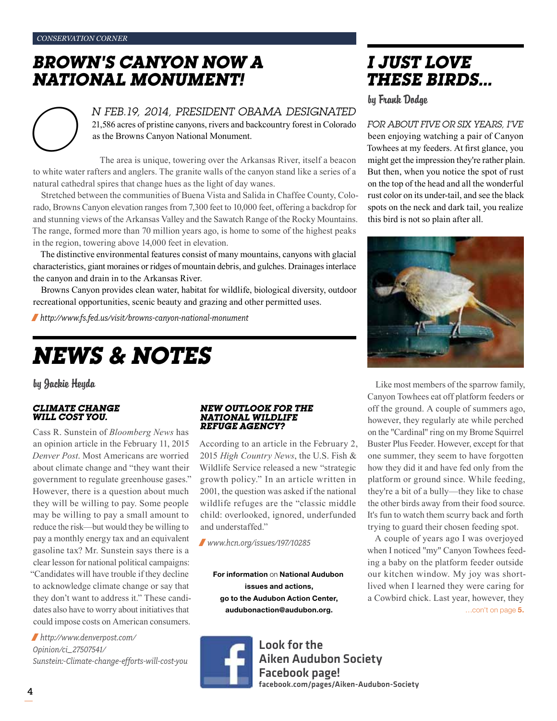*conservation corner*

# *brown's canyon now A national monument!*

*N FEB.19, 2014, PRESIDENT OBAMA DESIGNATED*<br>21,586 acres of pristine canyons, rivers and backcountry forest in Colorado<br>as the Browns Canyon National Monument.<br>The area is unique, towering over the Arkansas River, itself 21,586 acres of pristine canyons, rivers and backcountry forest in Colorado as the Browns Canyon National Monument.

The area is unique, towering over the Arkansas River, itself a beacon to white water rafters and anglers. The granite walls of the canyon stand like a series of a natural cathedral spires that change hues as the light of day wanes.

Stretched between the communities of Buena Vista and Salida in Chaffee County, Colorado, Browns Canyon elevation ranges from 7,300 feet to 10,000 feet, offering a backdrop for and stunning views of the Arkansas Valley and the Sawatch Range of the Rocky Mountains. The range, formed more than 70 million years ago, is home to some of the highest peaks in the region, towering above 14,000 feet in elevation.

The distinctive environmental features consist of many mountains, canyons with glacial characteristics, giant moraines or ridges of mountain debris, and gulches. Drainages interlace the canyon and drain in to the Arkansas River.

Browns Canyon provides clean water, habitat for wildlife, biological diversity, outdoor recreational opportunities, scenic beauty and grazing and other permitted uses.

/ *http://www.fs.fed.us/visit/browns-canyon-national-monument*

# *News & Notes*

by Jackie Heyda

#### *Climate change will cost you.*

Cass R. Sunstein of *Bloomberg News* has an opinion article in the February 11, 2015 *Denver Post*. Most Americans are worried about climate change and "they want their government to regulate greenhouse gases." However, there is a question about much they will be willing to pay. Some people may be willing to pay a small amount to reduce the risk—but would they be willing to pay a monthly energy tax and an equivalent gasoline tax? Mr. Sunstein says there is a clear lesson for national political campaigns: "Candidates will have trouble if they decline to acknowledge climate change or say that they don't want to address it." These candidates also have to worry about initiatives that could impose costs on American consumers.

/ *http://www.denverpost.com/ Opinion/ci\_27507541/ Sunstein:-Climate-change-efforts-will-cost-you*

#### *New outlook for the National Wildlife Refuge Agency?*

According to an article in the February 2, 2015 *High Country News*, the U.S. Fish & Wildlife Service released a new "strategic growth policy." In an article written in 2001, the question was asked if the national wildlife refuges are the "classic middle child: overlooked, ignored, underfunded and understaffed."

/ *www.hcn.org/issues/197/10285*

For information on National Audubon issues and actions, go to the Audubon Action Center, audubonaction@audubon.org.

> Look for the Aiken Audubon Society Facebook page! facebook.com/pages/Aiken-Audubon-Society

*I just love these birds…*

by Frank Dodge

*For about five or six years, I've*  been enjoying watching a pair of Canyon Towhees at my feeders. At first glance, you might get the impression they're rather plain. But then, when you notice the spot of rust on the top of the head and all the wonderful rust color on its under-tail, and see the black spots on the neck and dark tail, you realize this bird is not so plain after all.



Like most members of the sparrow family, Canyon Towhees eat off platform feeders or off the ground. A couple of summers ago, however, they regularly ate while perched on the "Cardinal" ring on my Brome Squirrel Buster Plus Feeder. However, except for that one summer, they seem to have forgotten how they did it and have fed only from the platform or ground since. While feeding, they're a bit of a bully—they like to chase the other birds away from their food source. It's fun to watch them scurry back and forth trying to guard their chosen feeding spot.

A couple of years ago I was overjoyed when I noticed "my" Canyon Towhees feeding a baby on the platform feeder outside our kitchen window. My joy was shortlived when I learned they were caring for a Cowbird chick. Last year, however, they …con't on page 5.

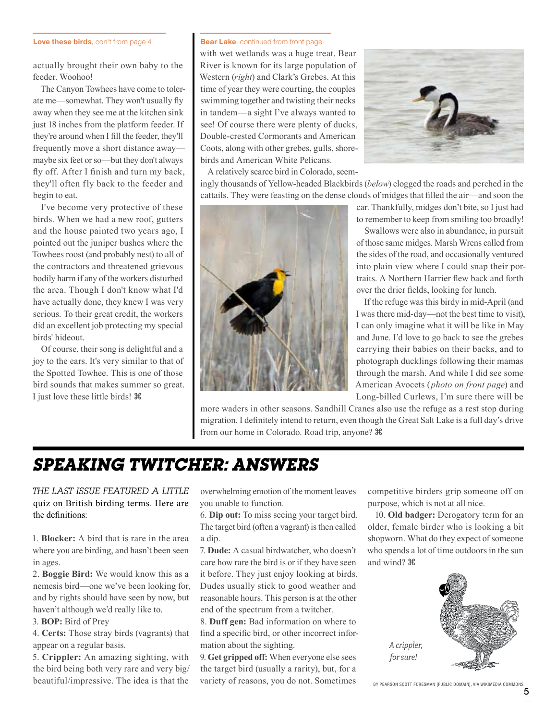#### Love these birds, con't from page 4

actually brought their own baby to the feeder. Woohoo!

The Canyon Towhees have come to tolerate me—somewhat. They won't usually fly away when they see me at the kitchen sink just 18 inches from the platform feeder. If they're around when I fill the feeder, they'll frequently move a short distance away maybe six feet or so—but they don't always fly off. After I finish and turn my back, they'll often fly back to the feeder and begin to eat.

I've become very protective of these birds. When we had a new roof, gutters and the house painted two years ago, I pointed out the juniper bushes where the Towhees roost (and probably nest) to all of the contractors and threatened grievous bodily harm if any of the workers disturbed the area. Though I don't know what I'd have actually done, they knew I was very serious. To their great credit, the workers did an excellent job protecting my special birds' hideout.

Of course, their song is delightful and a joy to the ears. It's very similar to that of the Spotted Towhee. This is one of those bird sounds that makes summer so great. I just love these little birds!  $\mathcal{H}$ 

#### **Bear Lake**, continued from front page

with wet wetlands was a huge treat. Bear River is known for its large population of Western (*right*) and Clark's Grebes. At this time of year they were courting, the couples swimming together and twisting their necks in tandem—a sight I've always wanted to see! Of course there were plenty of ducks, Double-crested Cormorants and American Coots, along with other grebes, gulls, shorebirds and American White Pelicans.



A relatively scarce bird in Colorado, seemingly thousands of Yellow-headed Blackbirds (*below*) clogged the roads and perched in the cattails. They were feasting on the dense clouds of midges that filled the air—and soon the



car. Thankfully, midges don't bite, so I just had to remember to keep from smiling too broadly!

Swallows were also in abundance, in pursuit of those same midges. Marsh Wrens called from the sides of the road, and occasionally ventured into plain view where I could snap their portraits. A Northern Harrier flew back and forth over the drier fields, looking for lunch.

If the refuge was this birdy in mid-April (and I was there mid-day—not the best time to visit), I can only imagine what it will be like in May and June. I'd love to go back to see the grebes carrying their babies on their backs, and to photograph ducklings following their mamas through the marsh. And while I did see some American Avocets (*photo on front page*) and Long-billed Curlews, I'm sure there will be

more waders in other seasons. Sandhill Cranes also use the refuge as a rest stop during migration. I definitely intend to return, even though the Great Salt Lake is a full day's drive from our home in Colorado. Road trip, anyone?  $\mathcal{H}$ 

# *Speaking Twitcher: Answers*

*The Last issue featured a little*  quiz on British birding terms. Here are the definitions:

1. **Blocker:** A bird that is rare in the area where you are birding, and hasn't been seen in ages.

2. **Boggie Bird:** We would know this as a nemesis bird—one we've been looking for, and by rights should have seen by now, but haven't although we'd really like to.

3. **BOP:** Bird of Prey

4. **Certs:** Those stray birds (vagrants) that appear on a regular basis.

5. **Crippler:** An amazing sighting, with the bird being both very rare and very big/ beautiful/impressive. The idea is that the

overwhelming emotion of the moment leaves you unable to function.

6. **Dip out:** To miss seeing your target bird. The target bird (often a vagrant) is then called a dip.

7. **Dude:** A casual birdwatcher, who doesn't care how rare the bird is or if they have seen it before. They just enjoy looking at birds. Dudes usually stick to good weather and reasonable hours. This person is at the other end of the spectrum from a twitcher.

8. **Duff gen:** Bad information on where to find a specific bird, or other incorrect information about the sighting.

9. **Get gripped off:** When everyone else sees the target bird (usually a rarity), but, for a variety of reasons, you do not. Sometimes competitive birders grip someone off on purpose, which is not at all nice.

10. **Old badger:** Derogatory term for an older, female birder who is looking a bit shopworn. What do they expect of someone who spends a lot of time outdoors in the sun and wind?



*A crippler, for sure!*

By Pearson Scott Foresman [Public domain], via Wikimedia Commons